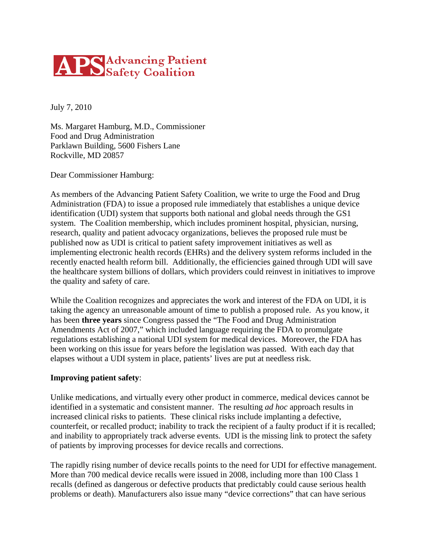# **APS** Advancing Patient

July 7, 2010

Ms. Margaret Hamburg, M.D., Commissioner Food and Drug Administration Parklawn Building, 5600 Fishers Lane Rockville, MD 20857

Dear Commissioner Hamburg:

As members of the Advancing Patient Safety Coalition, we write to urge the Food and Drug Administration (FDA) to issue a proposed rule immediately that establishes a unique device identification (UDI) system that supports both national and global needs through the GS1 system. The Coalition membership, which includes prominent hospital, physician, nursing, research, quality and patient advocacy organizations, believes the proposed rule must be published now as UDI is critical to patient safety improvement initiatives as well as implementing electronic health records (EHRs) and the delivery system reforms included in the recently enacted health reform bill. Additionally, the efficiencies gained through UDI will save the healthcare system billions of dollars, which providers could reinvest in initiatives to improve the quality and safety of care.

While the Coalition recognizes and appreciates the work and interest of the FDA on UDI, it is taking the agency an unreasonable amount of time to publish a proposed rule. As you know, it has been **three years** since Congress passed the "The Food and Drug Administration Amendments Act of 2007," which included language requiring the FDA to promulgate regulations establishing a national UDI system for medical devices. Moreover, the FDA has been working on this issue for years before the legislation was passed. With each day that elapses without a UDI system in place, patients' lives are put at needless risk.

## **Improving patient safety**:

Unlike medications, and virtually every other product in commerce, medical devices cannot be identified in a systematic and consistent manner. The resulting *ad hoc* approach results in increased clinical risks to patients. These clinical risks include implanting a defective, counterfeit, or recalled product; inability to track the recipient of a faulty product if it is recalled; and inability to appropriately track adverse events. UDI is the missing link to protect the safety of patients by improving processes for device recalls and corrections.

The rapidly rising number of device recalls points to the need for UDI for effective management. More than 700 medical device recalls were issued in 2008, including more than 100 Class 1 recalls (defined as dangerous or defective products that predictably could cause serious health problems or death). Manufacturers also issue many "device corrections" that can have serious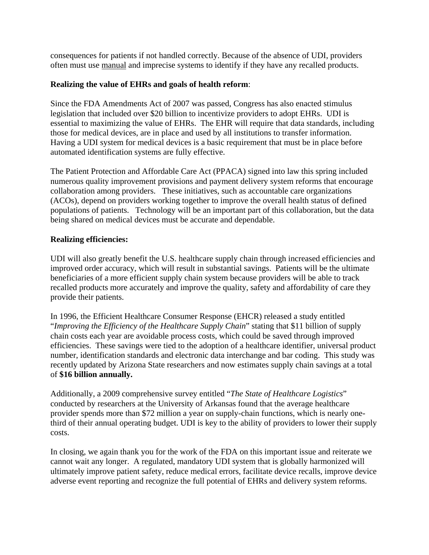consequences for patients if not handled correctly. Because of the absence of UDI, providers often must use manual and imprecise systems to identify if they have any recalled products.

### **Realizing the value of EHRs and goals of health reform**:

Since the FDA Amendments Act of 2007 was passed, Congress has also enacted stimulus legislation that included over \$20 billion to incentivize providers to adopt EHRs. UDI is essential to maximizing the value of EHRs. The EHR will require that data standards, including those for medical devices, are in place and used by all institutions to transfer information. Having a UDI system for medical devices is a basic requirement that must be in place before automated identification systems are fully effective.

The Patient Protection and Affordable Care Act (PPACA) signed into law this spring included numerous quality improvement provisions and payment delivery system reforms that encourage collaboration among providers. These initiatives, such as accountable care organizations (ACOs), depend on providers working together to improve the overall health status of defined populations of patients. Technology will be an important part of this collaboration, but the data being shared on medical devices must be accurate and dependable.

#### **Realizing efficiencies:**

UDI will also greatly benefit the U.S. healthcare supply chain through increased efficiencies and improved order accuracy, which will result in substantial savings. Patients will be the ultimate beneficiaries of a more efficient supply chain system because providers will be able to track recalled products more accurately and improve the quality, safety and affordability of care they provide their patients.

In 1996, the Efficient Healthcare Consumer Response (EHCR) released a study entitled "*Improving the Efficiency of the Healthcare Supply Chain*" stating that \$11 billion of supply chain costs each year are avoidable process costs, which could be saved through improved efficiencies. These savings were tied to the adoption of a healthcare identifier, universal product number, identification standards and electronic data interchange and bar coding. This study was recently updated by Arizona State researchers and now estimates supply chain savings at a total of **\$16 billion annually.** 

Additionally, a 2009 comprehensive survey entitled "*The State of Healthcare Logistics*" conducted by researchers at the University of Arkansas found that the average healthcare provider spends more than \$72 million a year on supply-chain functions, which is nearly onethird of their annual operating budget. UDI is key to the ability of providers to lower their supply costs.

In closing, we again thank you for the work of the FDA on this important issue and reiterate we cannot wait any longer. A regulated, mandatory UDI system that is globally harmonized will ultimately improve patient safety, reduce medical errors, facilitate device recalls, improve device adverse event reporting and recognize the full potential of EHRs and delivery system reforms.